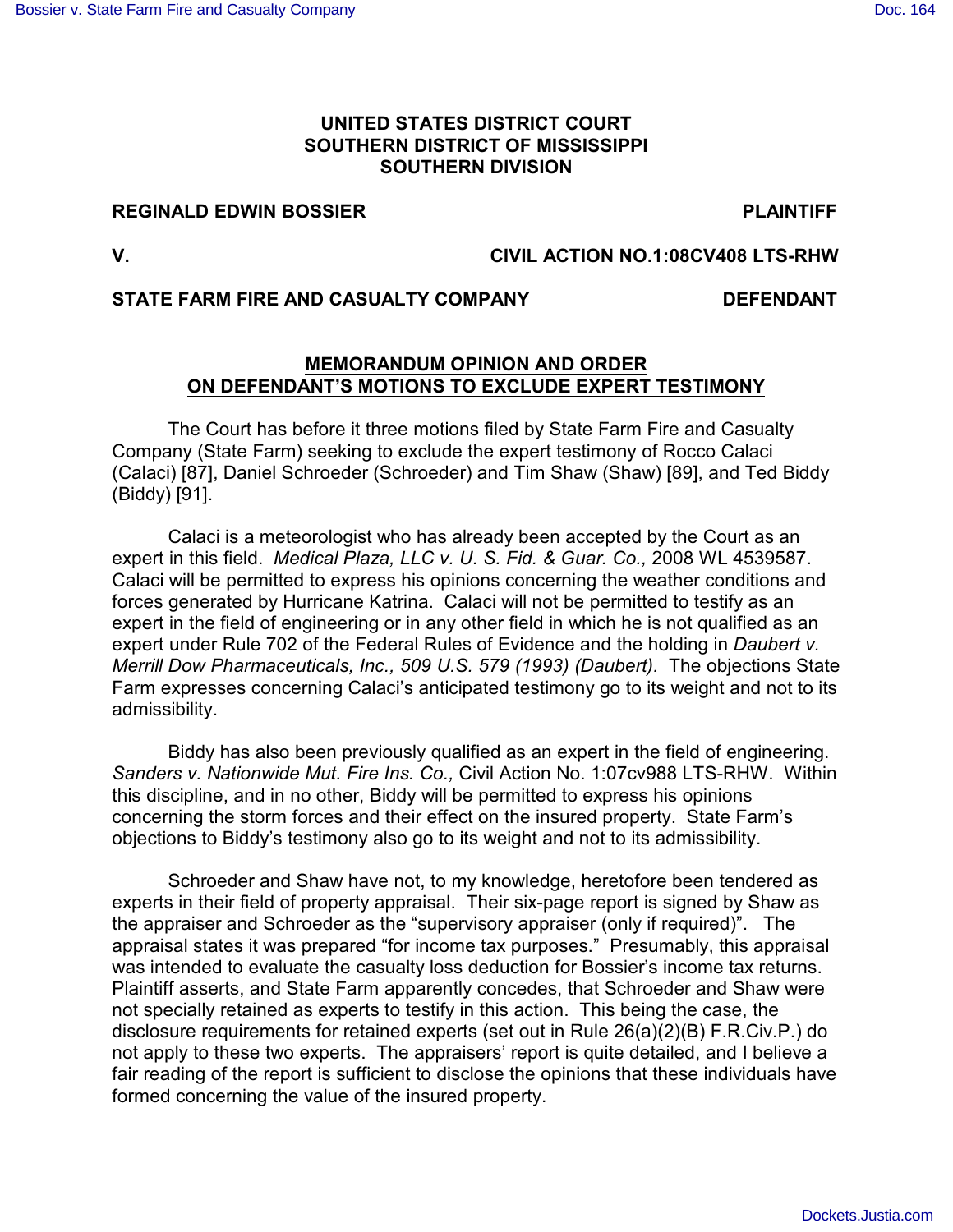## **UNITED STATES DISTRICT COURT SOUTHERN DISTRICT OF MISSISSIPPI SOUTHERN DIVISION**

# **REGINALD EDWIN BOSSIER FOR A SEX PLAINTIFF**

### **V. CIVIL ACTION NO.1:08CV408 LTS-RHW**

#### **STATE FARM FIRE AND CASUALTY COMPANY DEFENDANT**

#### **MEMORANDUM OPINION AND ORDER ON DEFENDANT'S MOTIONS TO EXCLUDE EXPERT TESTIMONY**

The Court has before it three motions filed by State Farm Fire and Casualty Company (State Farm) seeking to exclude the expert testimony of Rocco Calaci (Calaci) [87], Daniel Schroeder (Schroeder) and Tim Shaw (Shaw) [89], and Ted Biddy (Biddy) [91].

Calaci is a meteorologist who has already been accepted by the Court as an expert in this field. *Medical Plaza, LLC v. U. S. Fid. & Guar. Co.,* 2008 WL 4539587. Calaci will be permitted to express his opinions concerning the weather conditions and forces generated by Hurricane Katrina. Calaci will not be permitted to testify as an expert in the field of engineering or in any other field in which he is not qualified as an expert under Rule 702 of the Federal Rules of Evidence and the holding in *Daubert v. Merrill Dow Pharmaceuticals, Inc., 509 U.S. 579 (1993) (Daubert).* The objections State Farm expresses concerning Calaci's anticipated testimony go to its weight and not to its admissibility.

Biddy has also been previously qualified as an expert in the field of engineering. *Sanders v. Nationwide Mut. Fire Ins. Co.,* Civil Action No. 1:07cv988 LTS-RHW. Within this discipline, and in no other, Biddy will be permitted to express his opinions concerning the storm forces and their effect on the insured property. State Farm's objections to Biddy's testimony also go to its weight and not to its admissibility.

Schroeder and Shaw have not, to my knowledge, heretofore been tendered as experts in their field of property appraisal. Their six-page report is signed by Shaw as the appraiser and Schroeder as the "supervisory appraiser (only if required)". The appraisal states it was prepared "for income tax purposes." Presumably, this appraisal was intended to evaluate the casualty loss deduction for Bossier's income tax returns. Plaintiff asserts, and State Farm apparently concedes, that Schroeder and Shaw were not specially retained as experts to testify in this action. This being the case, the disclosure requirements for retained experts (set out in Rule 26(a)(2)(B) F.R.Civ.P.) do not apply to these two experts. The appraisers' report is quite detailed, and I believe a fair reading of the report is sufficient to disclose the opinions that these individuals have formed concerning the value of the insured property.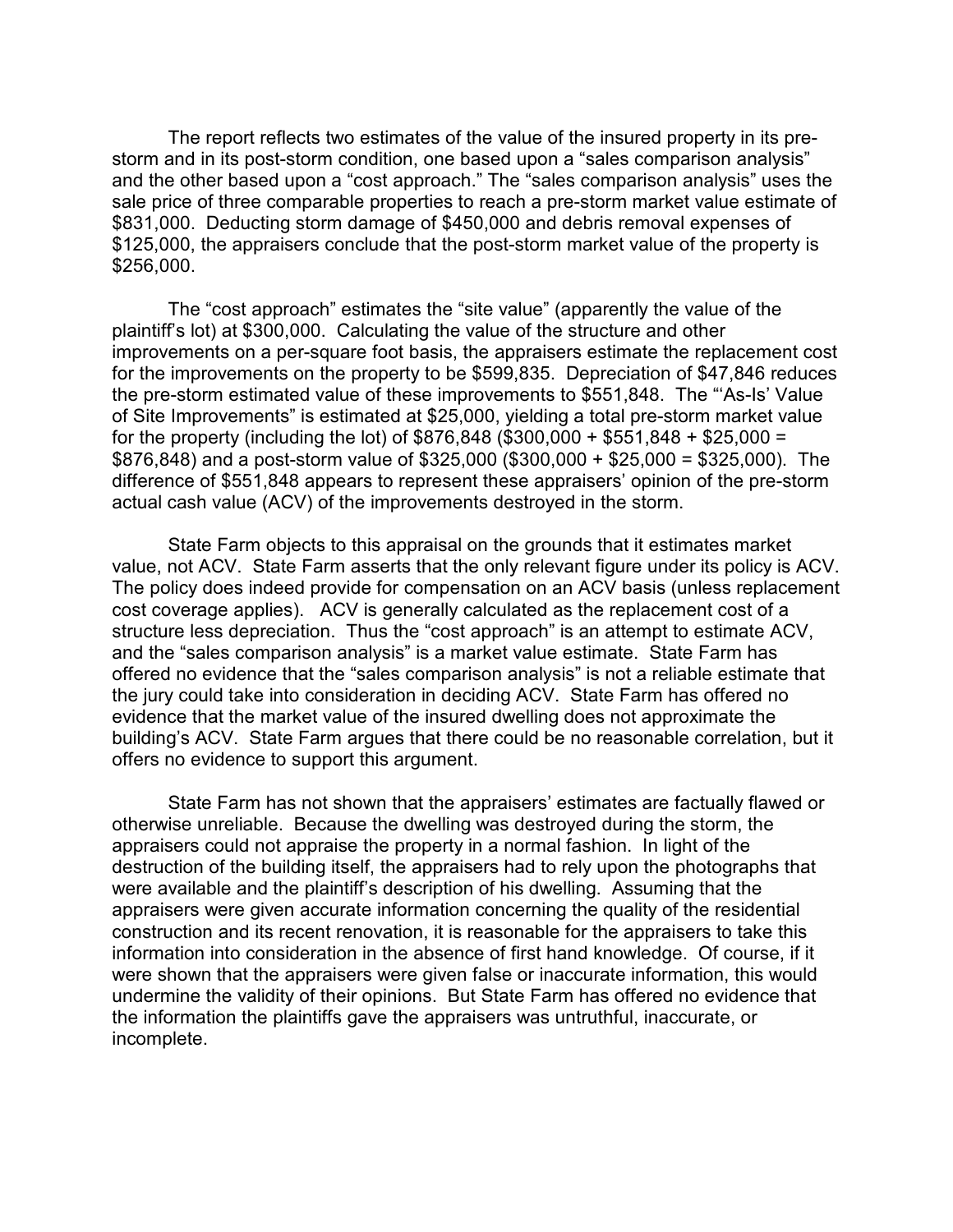The report reflects two estimates of the value of the insured property in its prestorm and in its post-storm condition, one based upon a "sales comparison analysis" and the other based upon a "cost approach." The "sales comparison analysis" uses the sale price of three comparable properties to reach a pre-storm market value estimate of \$831,000. Deducting storm damage of \$450,000 and debris removal expenses of \$125,000, the appraisers conclude that the post-storm market value of the property is \$256,000.

The "cost approach" estimates the "site value" (apparently the value of the plaintiff's lot) at \$300,000. Calculating the value of the structure and other improvements on a per-square foot basis, the appraisers estimate the replacement cost for the improvements on the property to be \$599,835. Depreciation of \$47,846 reduces the pre-storm estimated value of these improvements to \$551,848. The "'As-Is' Value of Site Improvements" is estimated at \$25,000, yielding a total pre-storm market value for the property (including the lot) of  $$876.848$  (\$300,000 + \$551,848 + \$25,000 =  $$876,848$ ) and a post-storm value of  $$325,000$  ( $$300,000 + $25,000 = $325,000$ ). The difference of \$551,848 appears to represent these appraisers' opinion of the pre-storm actual cash value (ACV) of the improvements destroyed in the storm.

State Farm objects to this appraisal on the grounds that it estimates market value, not ACV. State Farm asserts that the only relevant figure under its policy is ACV. The policy does indeed provide for compensation on an ACV basis (unless replacement cost coverage applies). ACV is generally calculated as the replacement cost of a structure less depreciation. Thus the "cost approach" is an attempt to estimate ACV, and the "sales comparison analysis" is a market value estimate. State Farm has offered no evidence that the "sales comparison analysis" is not a reliable estimate that the jury could take into consideration in deciding ACV. State Farm has offered no evidence that the market value of the insured dwelling does not approximate the building's ACV. State Farm argues that there could be no reasonable correlation, but it offers no evidence to support this argument.

State Farm has not shown that the appraisers' estimates are factually flawed or otherwise unreliable. Because the dwelling was destroyed during the storm, the appraisers could not appraise the property in a normal fashion. In light of the destruction of the building itself, the appraisers had to rely upon the photographs that were available and the plaintiff's description of his dwelling. Assuming that the appraisers were given accurate information concerning the quality of the residential construction and its recent renovation, it is reasonable for the appraisers to take this information into consideration in the absence of first hand knowledge. Of course, if it were shown that the appraisers were given false or inaccurate information, this would undermine the validity of their opinions. But State Farm has offered no evidence that the information the plaintiffs gave the appraisers was untruthful, inaccurate, or incomplete.